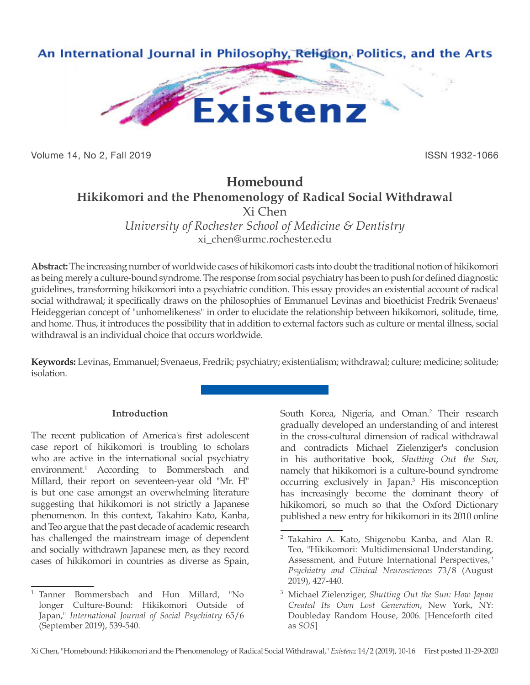

Volume 14, No 2, Fall 2019 ISSN 1932-1066

# **Homebound Hikikomori and the Phenomenology of Radical Social Withdrawal** Xi Chen

*University of Rochester School of Medicine & Dentistry* xi\_chen@urmc.rochester.edu

**Abstract:** The increasing number of worldwide cases of hikikomori casts into doubt the traditional notion of hikikomori as being merely a culture-bound syndrome. The response from social psychiatry has been to push for defined diagnostic guidelines, transforming hikikomori into a psychiatric condition. This essay provides an existential account of radical social withdrawal; it specifically draws on the philosophies of Emmanuel Levinas and bioethicist Fredrik Svenaeus' Heideggerian concept of "unhomelikeness" in order to elucidate the relationship between hikikomori, solitude, time, and home. Thus, it introduces the possibility that in addition to external factors such as culture or mental illness, social withdrawal is an individual choice that occurs worldwide.

**Keywords:** Levinas, Emmanuel; Svenaeus, Fredrik; psychiatry; existentialism; withdrawal; culture; medicine; solitude; isolation.

## **Introduction**

The recent publication of America's first adolescent case report of hikikomori is troubling to scholars who are active in the international social psychiatry environment.1 According to Bommersbach and Millard, their report on seventeen-year old "Mr. H" is but one case amongst an overwhelming literature suggesting that hikikomori is not strictly a Japanese phenomenon. In this context, Takahiro Kato, Kanba, and Teo argue that the past decade of academic research has challenged the mainstream image of dependent and socially withdrawn Japanese men, as they record cases of hikikomori in countries as diverse as Spain,

South Korea, Nigeria, and Oman.<sup>2</sup> Their research gradually developed an understanding of and interest in the cross-cultural dimension of radical withdrawal and contradicts Michael Zielenziger's conclusion in his authoritative book, *Shutting Out the Sun*, namely that hikikomori is a culture-bound syndrome occurring exclusively in Japan.3 His misconception has increasingly become the dominant theory of hikikomori, so much so that the Oxford Dictionary published a new entry for hikikomori in its 2010 online

<sup>1</sup> Tanner Bommersbach and Hun Millard, "No longer Culture-Bound: Hikikomori Outside of Japan," *International Journal of Social Psychiatry* 65/6 (September 2019), 539-540.

<sup>2</sup> Takahiro A. Kato, Shigenobu Kanba, and Alan R. Teo, "Hikikomori: Multidimensional Understanding, Assessment, and Future International Perspectives," *Psychiatry and Clinical Neurosciences* 73/8 (August 2019), 427-440.

<sup>3</sup> Michael Zielenziger, *Shutting Out the Sun: How Japan Created Its Own Lost Generation*, New York, NY: Doubleday Random House, 2006. [Henceforth cited as *SOS*]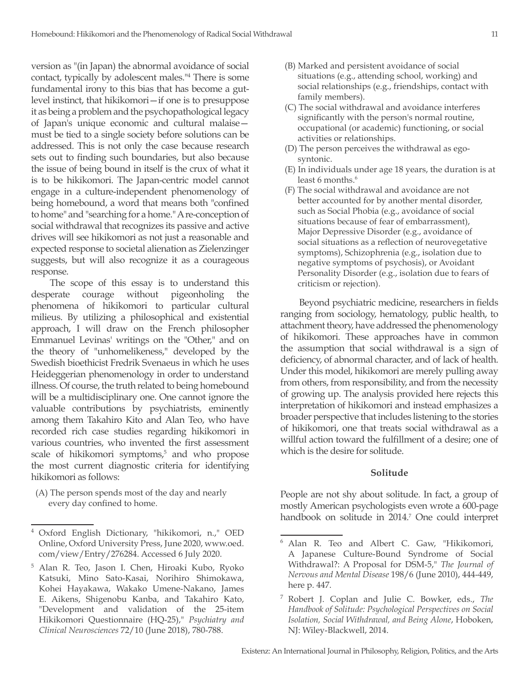version as "(in Japan) the abnormal avoidance of social contact, typically by adolescent males."4 There is some fundamental irony to this bias that has become a gutlevel instinct, that hikikomori—if one is to presuppose it as being a problem and the psychopathological legacy of Japan's unique economic and cultural malaise must be tied to a single society before solutions can be addressed. This is not only the case because research sets out to finding such boundaries, but also because the issue of being bound in itself is the crux of what it is to be hikikomori. The Japan-centric model cannot engage in a culture-independent phenomenology of being homebound, a word that means both "confined to home" and "searching for a home." A re-conception of social withdrawal that recognizes its passive and active drives will see hikikomori as not just a reasonable and expected response to societal alienation as Zielenzinger suggests, but will also recognize it as a courageous response.

The scope of this essay is to understand this desperate courage without pigeonholing the phenomena of hikikomori to particular cultural milieus. By utilizing a philosophical and existential approach, I will draw on the French philosopher Emmanuel Levinas' writings on the "Other," and on the theory of "unhomelikeness," developed by the Swedish bioethicist Fredrik Svenaeus in which he uses Heideggerian phenomenology in order to understand illness. Of course, the truth related to being homebound will be a multidisciplinary one. One cannot ignore the valuable contributions by psychiatrists, eminently among them Takahiro Kito and Alan Teo, who have recorded rich case studies regarding hikikomori in various countries, who invented the first assessment scale of hikikomori symptoms,<sup>5</sup> and who propose the most current diagnostic criteria for identifying hikikomori as follows:

(A) The person spends most of the day and nearly every day confined to home.

- (B) Marked and persistent avoidance of social situations (e.g., attending school, working) and social relationships (e.g., friendships, contact with family members).
- (C) The social withdrawal and avoidance interferes significantly with the person's normal routine, occupational (or academic) functioning, or social activities or relationships.
- (D) The person perceives the withdrawal as egosyntonic.
- (E) In individuals under age 18 years, the duration is at least 6 months.<sup>6</sup>
- (F) The social withdrawal and avoidance are not better accounted for by another mental disorder, such as Social Phobia (e.g., avoidance of social situations because of fear of embarrassment), Major Depressive Disorder (e.g., avoidance of social situations as a reflection of neurovegetative symptoms), Schizophrenia (e.g., isolation due to negative symptoms of psychosis), or Avoidant Personality Disorder (e.g., isolation due to fears of criticism or rejection).

Beyond psychiatric medicine, researchers in fields ranging from sociology, hematology, public health, to attachment theory, have addressed the phenomenology of hikikomori. These approaches have in common the assumption that social withdrawal is a sign of deficiency, of abnormal character, and of lack of health. Under this model, hikikomori are merely pulling away from others, from responsibility, and from the necessity of growing up. The analysis provided here rejects this interpretation of hikikomori and instead emphasizes a broader perspective that includes listening to the stories of hikikomori, one that treats social withdrawal as a willful action toward the fulfillment of a desire; one of which is the desire for solitude.

### **Solitude**

People are not shy about solitude. In fact, a group of mostly American psychologists even wrote a 600-page handbook on solitude in 2014.7 One could interpret

<sup>4</sup> Oxford English Dictionary, "hikikomori, n.," OED Online, Oxford University Press, June 2020, www.oed. com/view/Entry/276284. Accessed 6 July 2020.

<sup>5</sup> Alan R. Teo, Jason I. Chen, Hiroaki Kubo, Ryoko Katsuki, Mino Sato-Kasai, Norihiro Shimokawa, Kohei Hayakawa, Wakako Umene-Nakano, James E. Aikens, Shigenobu Kanba, and Takahiro Kato, "Development and validation of the 25-item Hikikomori Questionnaire (HQ-25)," *Psychiatry and Clinical Neurosciences* 72/10 (June 2018), 780-788.

<sup>6</sup> Alan R. Teo and Albert C. Gaw, "Hikikomori, A Japanese Culture-Bound Syndrome of Social Withdrawal?: A Proposal for DSM-5," *The Journal of Nervous and Mental Disease* 198/6 (June 2010), 444-449, here p. 447.

<sup>7</sup> Robert J. Coplan and Julie C. Bowker, eds., *The Handbook of Solitude: Psychological Perspectives on Social Isolation, Social Withdrawal, and Being Alone*, Hoboken, NJ: Wiley-Blackwell, 2014.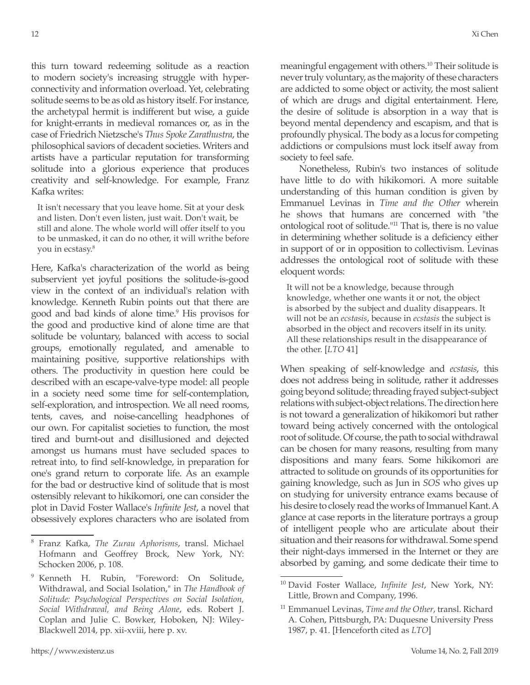this turn toward redeeming solitude as a reaction to modern society's increasing struggle with hyperconnectivity and information overload. Yet, celebrating solitude seems to be as old as history itself. For instance, the archetypal hermit is indifferent but wise, a guide for knight-errants in medieval romances or, as in the case of Friedrich Nietzsche's *Thus Spoke Zarathustra*, the philosophical saviors of decadent societies. Writers and artists have a particular reputation for transforming solitude into a glorious experience that produces creativity and self-knowledge. For example, Franz Kafka writes:

It isn't necessary that you leave home. Sit at your desk and listen. Don't even listen, just wait. Don't wait, be still and alone. The whole world will offer itself to you to be unmasked, it can do no other, it will writhe before you in ecstasy.8

Here, Kafka's characterization of the world as being subservient yet joyful positions the solitude-is-good view in the context of an individual's relation with knowledge. Kenneth Rubin points out that there are good and bad kinds of alone time.<sup>9</sup> His provisos for the good and productive kind of alone time are that solitude be voluntary, balanced with access to social groups, emotionally regulated, and amenable to maintaining positive, supportive relationships with others. The productivity in question here could be described with an escape-valve-type model: all people in a society need some time for self-contemplation, self-exploration, and introspection. We all need rooms, tents, caves, and noise-cancelling headphones of our own. For capitalist societies to function, the most tired and burnt-out and disillusioned and dejected amongst us humans must have secluded spaces to retreat into, to find self-knowledge, in preparation for one's grand return to corporate life. As an example for the bad or destructive kind of solitude that is most ostensibly relevant to hikikomori, one can consider the plot in David Foster Wallace's *Infinite Jest*, a novel that obsessively explores characters who are isolated from

meaningful engagement with others.10 Their solitude is never truly voluntary, as the majority of these characters are addicted to some object or activity, the most salient of which are drugs and digital entertainment. Here, the desire of solitude is absorption in a way that is beyond mental dependency and escapism, and that is profoundly physical. The body as a locus for competing addictions or compulsions must lock itself away from society to feel safe.

Nonetheless, Rubin's two instances of solitude have little to do with hikikomori. A more suitable understanding of this human condition is given by Emmanuel Levinas in *Time and the Other* wherein he shows that humans are concerned with "the ontological root of solitude."11 That is, there is no value in determining whether solitude is a deficiency either in support of or in opposition to collectivism. Levinas addresses the ontological root of solitude with these eloquent words:

It will not be a knowledge, because through knowledge, whether one wants it or not, the object is absorbed by the subject and duality disappears. It will not be an *ecstasis*, because in *ecstasis* the subject is absorbed in the object and recovers itself in its unity. All these relationships result in the disappearance of the other. [*LTO* 41]

When speaking of self-knowledge and *ecstasis*, this does not address being in solitude, rather it addresses going beyond solitude; threading frayed subject-subject relations with subject-object relations. The direction here is not toward a generalization of hikikomori but rather toward being actively concerned with the ontological root of solitude. Of course, the path to social withdrawal can be chosen for many reasons, resulting from many dispositions and many fears. Some hikikomori are attracted to solitude on grounds of its opportunities for gaining knowledge, such as Jun in *SOS* who gives up on studying for university entrance exams because of his desire to closely read the works of Immanuel Kant. A glance at case reports in the literature portrays a group of intelligent people who are articulate about their situation and their reasons for withdrawal. Some spend their night-days immersed in the Internet or they are absorbed by gaming, and some dedicate their time to

<sup>8</sup> Franz Kafka, *The Zurau Aphorisms*, transl. Michael Hofmann and Geoffrey Brock, New York, NY: Schocken 2006, p. 108.

<sup>9</sup> Kenneth H. Rubin, "Foreword: On Solitude, Withdrawal, and Social Isolation," in *The Handbook of Solitude: Psychological Perspectives on Social Isolation, Social Withdrawal, and Being Alone*, eds. Robert J. Coplan and Julie C. Bowker, Hoboken, NJ: Wiley-Blackwell 2014, pp. xii-xviii, here p. xv.

<sup>10</sup> David Foster Wallace, *Infinite Jest*, New York, NY: Little, Brown and Company, 1996.

<sup>11</sup> Emmanuel Levinas, *Time and the Other*, transl. Richard A. Cohen, Pittsburgh, PA: Duquesne University Press 1987, p. 41. [Henceforth cited as *LTO*]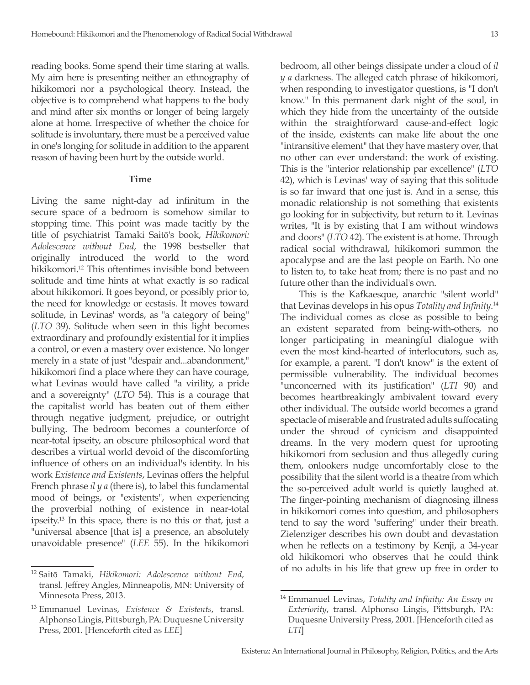reading books. Some spend their time staring at walls. My aim here is presenting neither an ethnography of hikikomori nor a psychological theory. Instead, the objective is to comprehend what happens to the body and mind after six months or longer of being largely alone at home. Irrespective of whether the choice for solitude is involuntary, there must be a perceived value in one's longing for solitude in addition to the apparent reason of having been hurt by the outside world.

#### **Time**

Living the same night-day ad infinitum in the secure space of a bedroom is somehow similar to stopping time. This point was made tacitly by the title of psychiatrist Tamaki Saitō's book, *Hikikomori: Adolescence without End*, the 1998 bestseller that originally introduced the world to the word hikikomori.12 This oftentimes invisible bond between solitude and time hints at what exactly is so radical about hikikomori. It goes beyond, or possibly prior to, the need for knowledge or ecstasis. It moves toward solitude, in Levinas' words, as "a category of being" (*LTO* 39). Solitude when seen in this light becomes extraordinary and profoundly existential for it implies a control, or even a mastery over existence. No longer merely in a state of just "despair and...abandonment," hikikomori find a place where they can have courage, what Levinas would have called "a virility, a pride and a sovereignty" (*LTO* 54). This is a courage that the capitalist world has beaten out of them either through negative judgment, prejudice, or outright bullying. The bedroom becomes a counterforce of near-total ipseity, an obscure philosophical word that describes a virtual world devoid of the discomforting influence of others on an individual's identity. In his work *Existence and Existents*, Levinas offers the helpful French phrase *il y a* (there is), to label this fundamental mood of beings, or "existents", when experiencing the proverbial nothing of existence in near-total ipseity.13 In this space, there is no this or that, just a "universal absence [that is] a presence, an absolutely unavoidable presence" (*LEE* 55). In the hikikomori

bedroom, all other beings dissipate under a cloud of *il y a* darkness. The alleged catch phrase of hikikomori, when responding to investigator questions, is "I don't know." In this permanent dark night of the soul, in which they hide from the uncertainty of the outside within the straightforward cause-and-effect logic of the inside, existents can make life about the one "intransitive element" that they have mastery over, that no other can ever understand: the work of existing. This is the "interior relationship par excellence" (*LTO* 42), which is Levinas' way of saying that this solitude is so far inward that one just is. And in a sense, this monadic relationship is not something that existents go looking for in subjectivity, but return to it. Levinas writes, "It is by existing that I am without windows and doors" (*LTO* 42). The existent is at home. Through radical social withdrawal, hikikomori summon the apocalypse and are the last people on Earth. No one to listen to, to take heat from; there is no past and no future other than the individual's own.

This is the Kafkaesque, anarchic "silent world" that Levinas develops in his opus *Totality and Infinity*. 14 The individual comes as close as possible to being an existent separated from being-with-others, no longer participating in meaningful dialogue with even the most kind-hearted of interlocutors, such as, for example, a parent. "I don't know" is the extent of permissible vulnerability. The individual becomes "unconcerned with its justification" (*LTI* 90) and becomes heartbreakingly ambivalent toward every other individual. The outside world becomes a grand spectacle of miserable and frustrated adults suffocating under the shroud of cynicism and disappointed dreams. In the very modern quest for uprooting hikikomori from seclusion and thus allegedly curing them, onlookers nudge uncomfortably close to the possibility that the silent world is a theatre from which the so-perceived adult world is quietly laughed at. The finger-pointing mechanism of diagnosing illness in hikikomori comes into question, and philosophers tend to say the word "suffering" under their breath. Zielenziger describes his own doubt and devastation when he reflects on a testimony by Kenji, a 34-year old hikikomori who observes that he could think of no adults in his life that grew up free in order to

<sup>12</sup> Saitō Tamaki, *Hikikomori: Adolescence without End*, transl. Jeffrey Angles, Minneapolis, MN: University of Minnesota Press, 2013.

<sup>13</sup> Emmanuel Levinas, *Existence & Existents*, transl. Alphonso Lingis, Pittsburgh, PA: Duquesne University Press, 2001. [Henceforth cited as *LEE*]

<sup>14</sup> Emmanuel Levinas, *Totality and Infinity: An Essay on Exteriority*, transl. Alphonso Lingis, Pittsburgh, PA: Duquesne University Press, 2001. [Henceforth cited as *LTI*]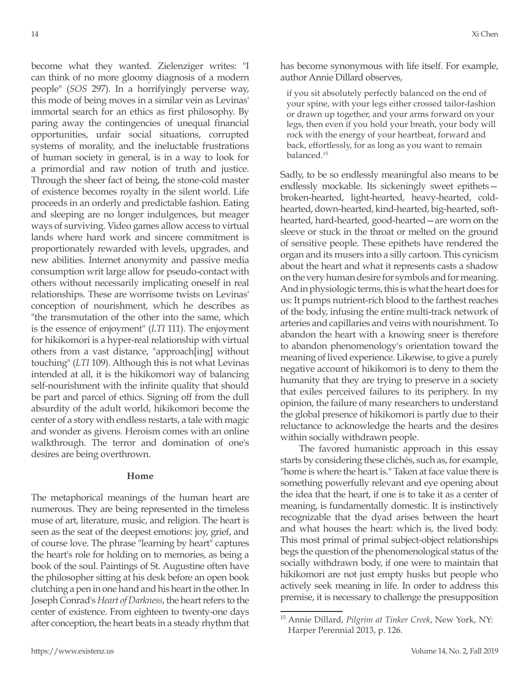become what they wanted. Zielenziger writes: "I can think of no more gloomy diagnosis of a modern people" (*SOS* 297). In a horrifyingly perverse way, this mode of being moves in a similar vein as Levinas' immortal search for an ethics as first philosophy. By paring away the contingencies of unequal financial opportunities, unfair social situations, corrupted systems of morality, and the ineluctable frustrations of human society in general, is in a way to look for a primordial and raw notion of truth and justice. Through the sheer fact of being, the stone-cold master of existence becomes royalty in the silent world. Life proceeds in an orderly and predictable fashion. Eating and sleeping are no longer indulgences, but meager ways of surviving. Video games allow access to virtual lands where hard work and sincere commitment is proportionately rewarded with levels, upgrades, and new abilities. Internet anonymity and passive media consumption writ large allow for pseudo-contact with others without necessarily implicating oneself in real relationships. These are worrisome twists on Levinas' conception of nourishment, which he describes as "the transmutation of the other into the same, which is the essence of enjoyment" (*LTI* 111). The enjoyment for hikikomori is a hyper-real relationship with virtual others from a vast distance, "approach[ing] without touching" (*LTI* 109). Although this is not what Levinas intended at all, it is the hikikomori way of balancing self-nourishment with the infinite quality that should be part and parcel of ethics. Signing off from the dull absurdity of the adult world, hikikomori become the center of a story with endless restarts, a tale with magic and wonder as givens. Heroism comes with an online walkthrough. The terror and domination of one's desires are being overthrown.

#### **Home**

The metaphorical meanings of the human heart are numerous. They are being represented in the timeless muse of art, literature, music, and religion. The heart is seen as the seat of the deepest emotions: joy, grief, and of course love. The phrase "learning by heart" captures the heart's role for holding on to memories, as being a book of the soul. Paintings of St. Augustine often have the philosopher sitting at his desk before an open book clutching a pen in one hand and his heart in the other. In Joseph Conrad's *Heart of Darkness*, the heart refers to the center of existence. From eighteen to twenty-one days after conception, the heart beats in a steady rhythm that has become synonymous with life itself. For example, author Annie Dillard observes,

if you sit absolutely perfectly balanced on the end of your spine, with your legs either crossed tailor-fashion or drawn up together, and your arms forward on your legs, then even if you hold your breath, your body will rock with the energy of your heartbeat, forward and back, effortlessly, for as long as you want to remain balanced.<sup>15</sup>

Sadly, to be so endlessly meaningful also means to be endlessly mockable. Its sickeningly sweet epithets broken-hearted, light-hearted, heavy-hearted, coldhearted, down-hearted, kind-hearted, big-hearted, softhearted, hard-hearted, good-hearted—are worn on the sleeve or stuck in the throat or melted on the ground of sensitive people. These epithets have rendered the organ and its musers into a silly cartoon. This cynicism about the heart and what it represents casts a shadow on the very human desire for symbols and for meaning. And in physiologic terms, this is what the heart does for us: It pumps nutrient-rich blood to the farthest reaches of the body, infusing the entire multi-track network of arteries and capillaries and veins with nourishment. To abandon the heart with a knowing sneer is therefore to abandon phenomenology's orientation toward the meaning of lived experience. Likewise, to give a purely negative account of hikikomori is to deny to them the humanity that they are trying to preserve in a society that exiles perceived failures to its periphery. In my opinion, the failure of many researchers to understand the global presence of hikikomori is partly due to their reluctance to acknowledge the hearts and the desires within socially withdrawn people.

The favored humanistic approach in this essay starts by considering these clichés, such as, for example, "home is where the heart is." Taken at face value there is something powerfully relevant and eye opening about the idea that the heart, if one is to take it as a center of meaning, is fundamentally domestic. It is instinctively recognizable that the dyad arises between the heart and what houses the heart: which is, the lived body. This most primal of primal subject-object relationships begs the question of the phenomenological status of the socially withdrawn body, if one were to maintain that hikikomori are not just empty husks but people who actively seek meaning in life. In order to address this premise, it is necessary to challenge the presupposition

<sup>15</sup> Annie Dillard, *Pilgrim at Tinker Creek*, New York, NY: Harper Perennial 2013, p. 126.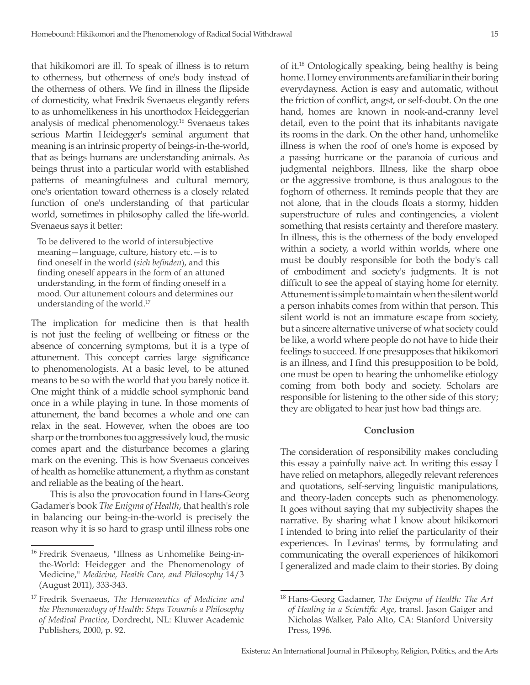that hikikomori are ill. To speak of illness is to return to otherness, but otherness of one's body instead of the otherness of others. We find in illness the flipside of domesticity, what Fredrik Svenaeus elegantly refers to as unhomelikeness in his unorthodox Heideggerian analysis of medical phenomenology.16 Svenaeus takes serious Martin Heidegger's seminal argument that meaning is an intrinsic property of beings-in-the-world, that as beings humans are understanding animals. As beings thrust into a particular world with established patterns of meaningfulness and cultural memory, one's orientation toward otherness is a closely related function of one's understanding of that particular world, sometimes in philosophy called the life-world. Svenaeus says it better:

To be delivered to the world of intersubjective meaning—language, culture, history etc.—is to find oneself in the world (*sich befinden*), and this finding oneself appears in the form of an attuned understanding, in the form of finding oneself in a mood. Our attunement colours and determines our understanding of the world.17

The implication for medicine then is that health is not just the feeling of wellbeing or fitness or the absence of concerning symptoms, but it is a type of attunement. This concept carries large significance to phenomenologists. At a basic level, to be attuned means to be so with the world that you barely notice it. One might think of a middle school symphonic band once in a while playing in tune. In those moments of attunement, the band becomes a whole and one can relax in the seat. However, when the oboes are too sharp or the trombones too aggressively loud, the music comes apart and the disturbance becomes a glaring mark on the evening. This is how Svenaeus conceives of health as homelike attunement, a rhythm as constant and reliable as the beating of the heart.

This is also the provocation found in Hans-Georg Gadamer's book *The Enigma of Health*, that health's role in balancing our being-in-the-world is precisely the reason why it is so hard to grasp until illness robs one

of it.18 Ontologically speaking, being healthy is being home. Homey environments are familiar in their boring everydayness. Action is easy and automatic, without the friction of conflict, angst, or self-doubt. On the one hand, homes are known in nook-and-cranny level detail, even to the point that its inhabitants navigate its rooms in the dark. On the other hand, unhomelike illness is when the roof of one's home is exposed by a passing hurricane or the paranoia of curious and judgmental neighbors. Illness, like the sharp oboe or the aggressive trombone, is thus analogous to the foghorn of otherness. It reminds people that they are not alone, that in the clouds floats a stormy, hidden superstructure of rules and contingencies, a violent something that resists certainty and therefore mastery. In illness, this is the otherness of the body enveloped within a society, a world within worlds, where one must be doubly responsible for both the body's call of embodiment and society's judgments. It is not difficult to see the appeal of staying home for eternity. Attunement is simple to maintain when the silent world a person inhabits comes from within that person. This silent world is not an immature escape from society, but a sincere alternative universe of what society could be like, a world where people do not have to hide their feelings to succeed. If one presupposes that hikikomori is an illness, and I find this presupposition to be bold, one must be open to hearing the unhomelike etiology coming from both body and society. Scholars are responsible for listening to the other side of this story; they are obligated to hear just how bad things are.

#### **Conclusion**

The consideration of responsibility makes concluding this essay a painfully naive act. In writing this essay I have relied on metaphors, allegedly relevant references and quotations, self-serving linguistic manipulations, and theory-laden concepts such as phenomenology. It goes without saying that my subjectivity shapes the narrative. By sharing what I know about hikikomori I intended to bring into relief the particularity of their experiences. In Levinas' terms, by formulating and communicating the overall experiences of hikikomori I generalized and made claim to their stories. By doing

<sup>&</sup>lt;sup>16</sup> Fredrik Svenaeus, "Illness as Unhomelike Being-inthe-World: Heidegger and the Phenomenology of Medicine," *Medicine, Health Care, and Philosophy* 14/3 (August 2011), 333-343.

<sup>17</sup> Fredrik Svenaeus, *The Hermeneutics of Medicine and the Phenomenology of Health: Steps Towards a Philosophy of Medical Practice*, Dordrecht, NL: Kluwer Academic Publishers, 2000, p. 92.

<sup>18</sup> Hans-Georg Gadamer, *The Enigma of Health: The Art of Healing in a Scientific Age*, transl. Jason Gaiger and Nicholas Walker, Palo Alto, CA: Stanford University Press, 1996.